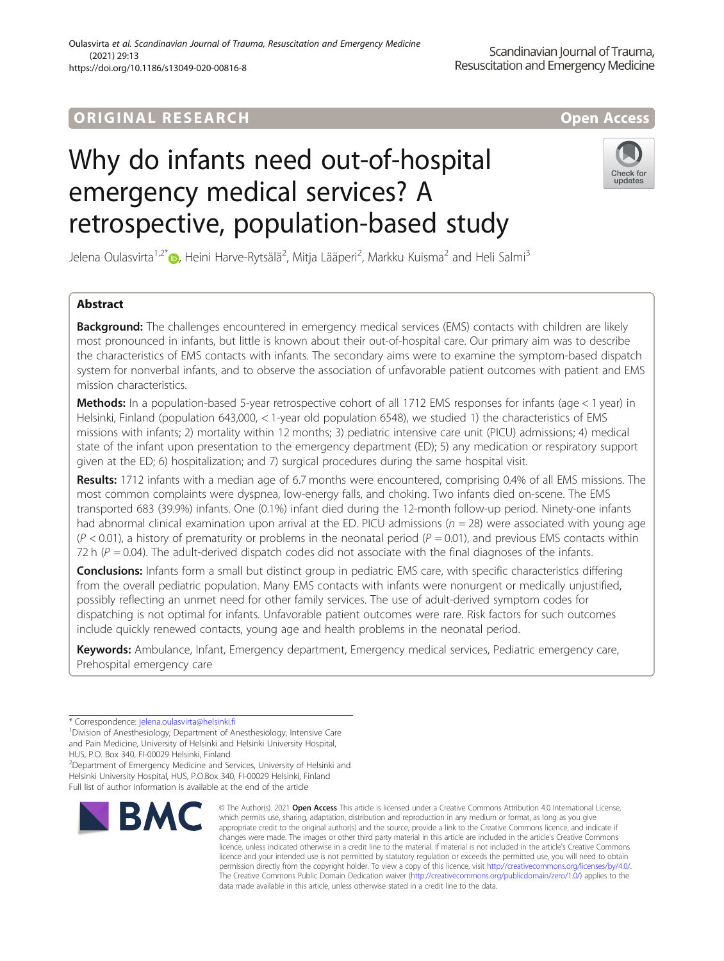## ORIGINA L R E S EA RCH Open Access

# Why do infants need out-of-hospital emergency medical services? A retrospective, population-based study



Jelena Oulasvirta<sup>1,2\*</sup>®, Heini Harve-Rytsälä<sup>2</sup>, Mitja Lääperi<sup>2</sup>, Markku Kuisma<sup>2</sup> and Heli Salmi<sup>3</sup>

## Abstract

**Background:** The challenges encountered in emergency medical services (EMS) contacts with children are likely most pronounced in infants, but little is known about their out-of-hospital care. Our primary aim was to describe the characteristics of EMS contacts with infants. The secondary aims were to examine the symptom-based dispatch system for nonverbal infants, and to observe the association of unfavorable patient outcomes with patient and EMS mission characteristics.

Methods: In a population-based 5-year retrospective cohort of all 1712 EMS responses for infants (age < 1 year) in Helsinki, Finland (population 643,000, < 1-year old population 6548), we studied 1) the characteristics of EMS missions with infants; 2) mortality within 12 months; 3) pediatric intensive care unit (PICU) admissions; 4) medical state of the infant upon presentation to the emergency department (ED); 5) any medication or respiratory support given at the ED; 6) hospitalization; and 7) surgical procedures during the same hospital visit.

Results: 1712 infants with a median age of 6.7 months were encountered, comprising 0.4% of all EMS missions. The most common complaints were dyspnea, low-energy falls, and choking. Two infants died on-scene. The EMS transported 683 (39.9%) infants. One (0.1%) infant died during the 12-month follow-up period. Ninety-one infants had abnormal clinical examination upon arrival at the ED. PICU admissions ( $n = 28$ ) were associated with young age  $(P < 0.01)$ , a history of prematurity or problems in the neonatal period  $(P = 0.01)$ , and previous EMS contacts within 72 h ( $P = 0.04$ ). The adult-derived dispatch codes did not associate with the final diagnoses of the infants.

**Conclusions:** Infants form a small but distinct group in pediatric EMS care, with specific characteristics differing from the overall pediatric population. Many EMS contacts with infants were nonurgent or medically unjustified, possibly reflecting an unmet need for other family services. The use of adult-derived symptom codes for dispatching is not optimal for infants. Unfavorable patient outcomes were rare. Risk factors for such outcomes include quickly renewed contacts, young age and health problems in the neonatal period.

Keywords: Ambulance, Infant, Emergency department, Emergency medical services, Pediatric emergency care, Prehospital emergency care

<sup>1</sup> Division of Anesthesiology; Department of Anesthesiology, Intensive Care and Pain Medicine, University of Helsinki and Helsinki University Hospital,

HUS, P.O. Box 340, FI-00029 Helsinki, Finland <sup>2</sup>Department of Emergency Medicine and Services, University of Helsinki and Helsinki University Hospital, HUS, P.O.Box 340, FI-00029 Helsinki, Finland Full list of author information is available at the end of the article



<sup>©</sup> The Author(s), 2021 **Open Access** This article is licensed under a Creative Commons Attribution 4.0 International License, which permits use, sharing, adaptation, distribution and reproduction in any medium or format, as long as you give appropriate credit to the original author(s) and the source, provide a link to the Creative Commons licence, and indicate if changes were made. The images or other third party material in this article are included in the article's Creative Commons licence, unless indicated otherwise in a credit line to the material. If material is not included in the article's Creative Commons licence and your intended use is not permitted by statutory regulation or exceeds the permitted use, you will need to obtain permission directly from the copyright holder. To view a copy of this licence, visit [http://creativecommons.org/licenses/by/4.0/.](http://creativecommons.org/licenses/by/4.0/) The Creative Commons Public Domain Dedication waiver [\(http://creativecommons.org/publicdomain/zero/1.0/](http://creativecommons.org/publicdomain/zero/1.0/)) applies to the data made available in this article, unless otherwise stated in a credit line to the data.

<sup>\*</sup> Correspondence: [jelena.oulasvirta@helsinki.fi](mailto:jelena.oulasvirta@helsinki.fi) <sup>1</sup>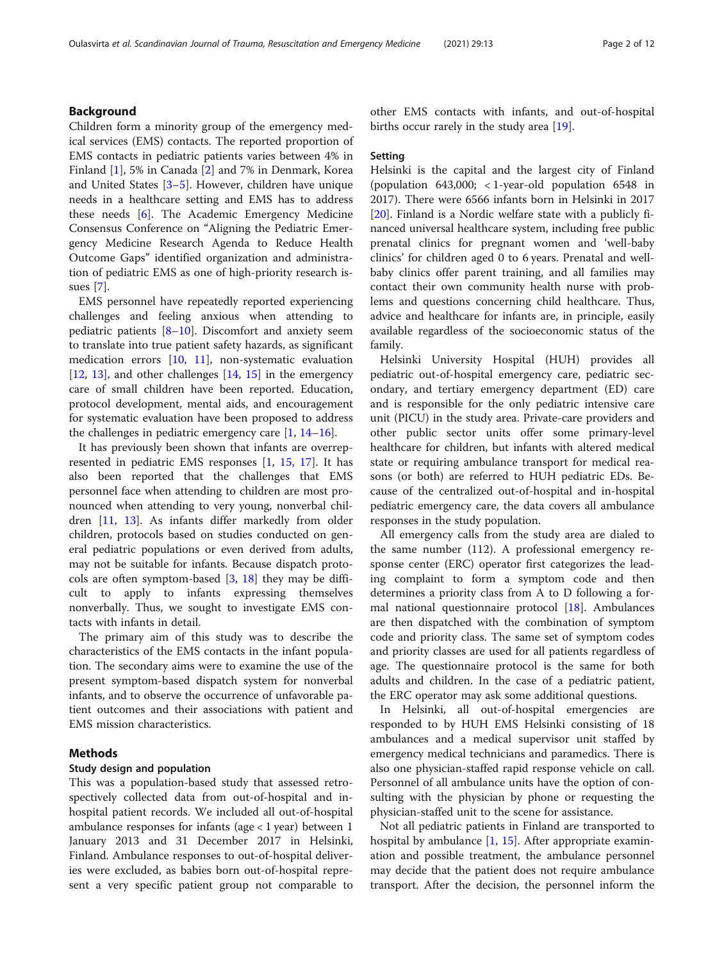## Background

Children form a minority group of the emergency medical services (EMS) contacts. The reported proportion of EMS contacts in pediatric patients varies between 4% in Finland [\[1](#page-10-0)], 5% in Canada [[2\]](#page-10-0) and 7% in Denmark, Korea and United States [[3](#page-10-0)–[5\]](#page-10-0). However, children have unique needs in a healthcare setting and EMS has to address these needs [\[6](#page-10-0)]. The Academic Emergency Medicine Consensus Conference on "Aligning the Pediatric Emergency Medicine Research Agenda to Reduce Health Outcome Gaps" identified organization and administration of pediatric EMS as one of high-priority research issues [\[7\]](#page-10-0).

EMS personnel have repeatedly reported experiencing challenges and feeling anxious when attending to pediatric patients [\[8](#page-10-0)–[10\]](#page-10-0). Discomfort and anxiety seem to translate into true patient safety hazards, as significant medication errors [[10,](#page-10-0) [11\]](#page-10-0), non-systematic evaluation [[12,](#page-11-0) [13](#page-11-0)], and other challenges  $[14, 15]$  $[14, 15]$  $[14, 15]$  $[14, 15]$  in the emergency care of small children have been reported. Education, protocol development, mental aids, and encouragement for systematic evaluation have been proposed to address the challenges in pediatric emergency care  $[1, 14-16]$  $[1, 14-16]$  $[1, 14-16]$  $[1, 14-16]$  $[1, 14-16]$  $[1, 14-16]$  $[1, 14-16]$ .

It has previously been shown that infants are overrepresented in pediatric EMS responses [[1,](#page-10-0) [15](#page-11-0), [17\]](#page-11-0). It has also been reported that the challenges that EMS personnel face when attending to children are most pronounced when attending to very young, nonverbal children [\[11](#page-10-0), [13\]](#page-11-0). As infants differ markedly from older children, protocols based on studies conducted on general pediatric populations or even derived from adults, may not be suitable for infants. Because dispatch protocols are often symptom-based  $[3, 18]$  $[3, 18]$  $[3, 18]$  $[3, 18]$  $[3, 18]$  they may be difficult to apply to infants expressing themselves nonverbally. Thus, we sought to investigate EMS contacts with infants in detail.

The primary aim of this study was to describe the characteristics of the EMS contacts in the infant population. The secondary aims were to examine the use of the present symptom-based dispatch system for nonverbal infants, and to observe the occurrence of unfavorable patient outcomes and their associations with patient and EMS mission characteristics.

## Methods

### Study design and population

This was a population-based study that assessed retrospectively collected data from out-of-hospital and inhospital patient records. We included all out-of-hospital ambulance responses for infants (age < 1 year) between 1 January 2013 and 31 December 2017 in Helsinki, Finland. Ambulance responses to out-of-hospital deliveries were excluded, as babies born out-of-hospital represent a very specific patient group not comparable to other EMS contacts with infants, and out-of-hospital births occur rarely in the study area [[19\]](#page-11-0).

### Setting

Helsinki is the capital and the largest city of Finland (population 643,000; < 1-year-old population 6548 in 2017). There were 6566 infants born in Helsinki in 2017 [[20\]](#page-11-0). Finland is a Nordic welfare state with a publicly financed universal healthcare system, including free public prenatal clinics for pregnant women and 'well-baby clinics' for children aged 0 to 6 years. Prenatal and wellbaby clinics offer parent training, and all families may contact their own community health nurse with problems and questions concerning child healthcare. Thus, advice and healthcare for infants are, in principle, easily available regardless of the socioeconomic status of the family.

Helsinki University Hospital (HUH) provides all pediatric out-of-hospital emergency care, pediatric secondary, and tertiary emergency department (ED) care and is responsible for the only pediatric intensive care unit (PICU) in the study area. Private-care providers and other public sector units offer some primary-level healthcare for children, but infants with altered medical state or requiring ambulance transport for medical reasons (or both) are referred to HUH pediatric EDs. Because of the centralized out-of-hospital and in-hospital pediatric emergency care, the data covers all ambulance responses in the study population.

All emergency calls from the study area are dialed to the same number (112). A professional emergency response center (ERC) operator first categorizes the leading complaint to form a symptom code and then determines a priority class from A to D following a formal national questionnaire protocol [\[18](#page-11-0)]. Ambulances are then dispatched with the combination of symptom code and priority class. The same set of symptom codes and priority classes are used for all patients regardless of age. The questionnaire protocol is the same for both adults and children. In the case of a pediatric patient, the ERC operator may ask some additional questions.

In Helsinki, all out-of-hospital emergencies are responded to by HUH EMS Helsinki consisting of 18 ambulances and a medical supervisor unit staffed by emergency medical technicians and paramedics. There is also one physician-staffed rapid response vehicle on call. Personnel of all ambulance units have the option of consulting with the physician by phone or requesting the physician-staffed unit to the scene for assistance.

Not all pediatric patients in Finland are transported to hospital by ambulance [[1,](#page-10-0) [15\]](#page-11-0). After appropriate examination and possible treatment, the ambulance personnel may decide that the patient does not require ambulance transport. After the decision, the personnel inform the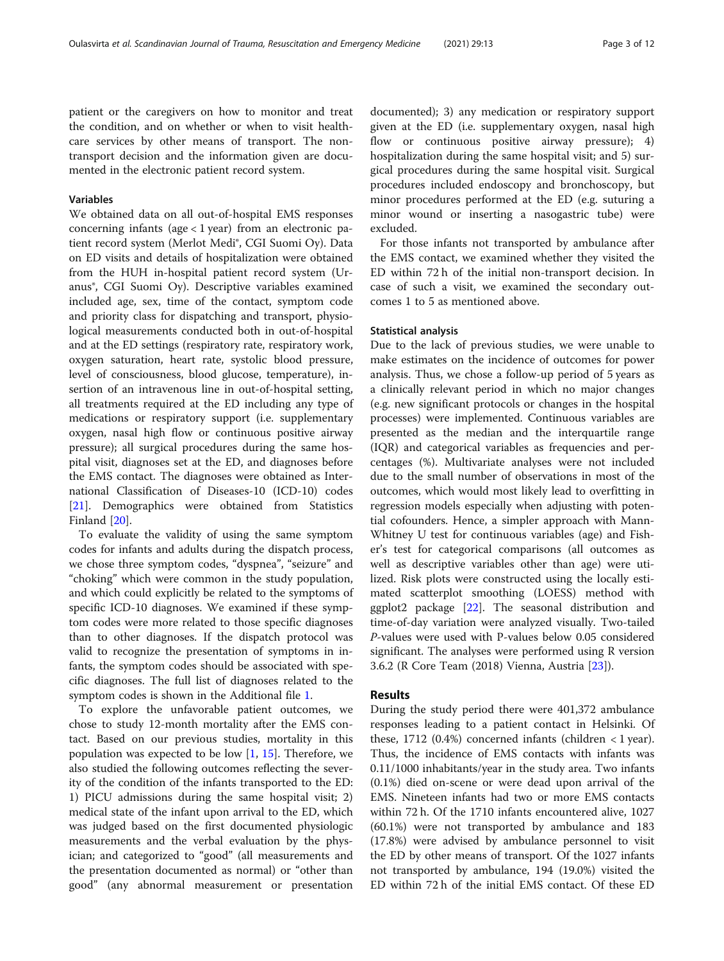patient or the caregivers on how to monitor and treat the condition, and on whether or when to visit healthcare services by other means of transport. The nontransport decision and the information given are documented in the electronic patient record system.

## Variables

We obtained data on all out-of-hospital EMS responses concerning infants (age  $<$  1 year) from an electronic patient record system (Merlot Medi®, CGI Suomi Oy). Data on ED visits and details of hospitalization were obtained from the HUH in-hospital patient record system (Uranus®, CGI Suomi Oy). Descriptive variables examined included age, sex, time of the contact, symptom code and priority class for dispatching and transport, physiological measurements conducted both in out-of-hospital and at the ED settings (respiratory rate, respiratory work, oxygen saturation, heart rate, systolic blood pressure, level of consciousness, blood glucose, temperature), insertion of an intravenous line in out-of-hospital setting, all treatments required at the ED including any type of medications or respiratory support (i.e. supplementary oxygen, nasal high flow or continuous positive airway pressure); all surgical procedures during the same hospital visit, diagnoses set at the ED, and diagnoses before the EMS contact. The diagnoses were obtained as International Classification of Diseases-10 (ICD-10) codes [[21\]](#page-11-0). Demographics were obtained from Statistics Finland [\[20](#page-11-0)].

To evaluate the validity of using the same symptom codes for infants and adults during the dispatch process, we chose three symptom codes, "dyspnea", "seizure" and "choking" which were common in the study population, and which could explicitly be related to the symptoms of specific ICD-10 diagnoses. We examined if these symptom codes were more related to those specific diagnoses than to other diagnoses. If the dispatch protocol was valid to recognize the presentation of symptoms in infants, the symptom codes should be associated with specific diagnoses. The full list of diagnoses related to the symptom codes is shown in the Additional file [1](#page-10-0).

To explore the unfavorable patient outcomes, we chose to study 12-month mortality after the EMS contact. Based on our previous studies, mortality in this population was expected to be low  $[1, 15]$  $[1, 15]$  $[1, 15]$  $[1, 15]$ . Therefore, we also studied the following outcomes reflecting the severity of the condition of the infants transported to the ED: 1) PICU admissions during the same hospital visit; 2) medical state of the infant upon arrival to the ED, which was judged based on the first documented physiologic measurements and the verbal evaluation by the physician; and categorized to "good" (all measurements and the presentation documented as normal) or "other than good" (any abnormal measurement or presentation

documented); 3) any medication or respiratory support given at the ED (i.e. supplementary oxygen, nasal high flow or continuous positive airway pressure); 4) hospitalization during the same hospital visit; and 5) surgical procedures during the same hospital visit. Surgical procedures included endoscopy and bronchoscopy, but minor procedures performed at the ED (e.g. suturing a minor wound or inserting a nasogastric tube) were excluded.

For those infants not transported by ambulance after the EMS contact, we examined whether they visited the ED within 72 h of the initial non-transport decision. In case of such a visit, we examined the secondary outcomes 1 to 5 as mentioned above.

#### Statistical analysis

Due to the lack of previous studies, we were unable to make estimates on the incidence of outcomes for power analysis. Thus, we chose a follow-up period of 5 years as a clinically relevant period in which no major changes (e.g. new significant protocols or changes in the hospital processes) were implemented. Continuous variables are presented as the median and the interquartile range (IQR) and categorical variables as frequencies and percentages (%). Multivariate analyses were not included due to the small number of observations in most of the outcomes, which would most likely lead to overfitting in regression models especially when adjusting with potential cofounders. Hence, a simpler approach with Mann-Whitney U test for continuous variables (age) and Fisher's test for categorical comparisons (all outcomes as well as descriptive variables other than age) were utilized. Risk plots were constructed using the locally estimated scatterplot smoothing (LOESS) method with ggplot2 package [[22\]](#page-11-0). The seasonal distribution and time-of-day variation were analyzed visually. Two-tailed P-values were used with P-values below 0.05 considered significant. The analyses were performed using R version 3.6.2 (R Core Team (2018) Vienna, Austria [[23\]](#page-11-0)).

## Results

During the study period there were 401,372 ambulance responses leading to a patient contact in Helsinki. Of these, 1712 (0.4%) concerned infants (children  $\langle 1 \rangle$  year). Thus, the incidence of EMS contacts with infants was 0.11/1000 inhabitants/year in the study area. Two infants (0.1%) died on-scene or were dead upon arrival of the EMS. Nineteen infants had two or more EMS contacts within 72 h. Of the 1710 infants encountered alive, 1027 (60.1%) were not transported by ambulance and 183 (17.8%) were advised by ambulance personnel to visit the ED by other means of transport. Of the 1027 infants not transported by ambulance, 194 (19.0%) visited the ED within 72 h of the initial EMS contact. Of these ED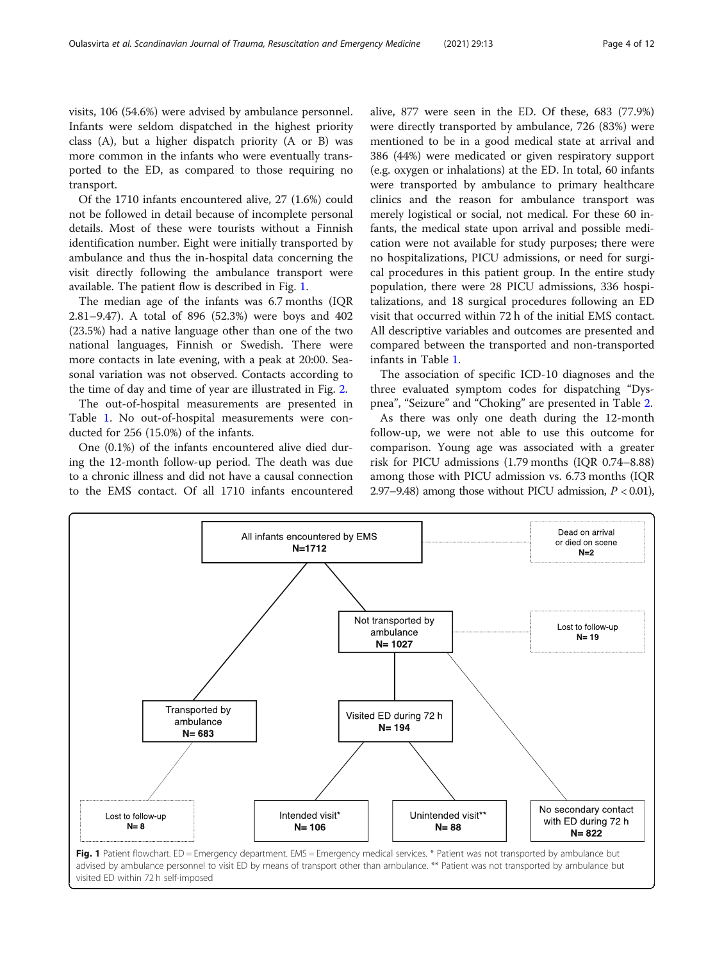visits, 106 (54.6%) were advised by ambulance personnel. Infants were seldom dispatched in the highest priority class (A), but a higher dispatch priority (A or B) was more common in the infants who were eventually transported to the ED, as compared to those requiring no transport.

Of the 1710 infants encountered alive, 27 (1.6%) could not be followed in detail because of incomplete personal details. Most of these were tourists without a Finnish identification number. Eight were initially transported by ambulance and thus the in-hospital data concerning the visit directly following the ambulance transport were available. The patient flow is described in Fig. 1.

The median age of the infants was 6.7 months (IQR 2.81–9.47). A total of 896 (52.3%) were boys and 402 (23.5%) had a native language other than one of the two national languages, Finnish or Swedish. There were more contacts in late evening, with a peak at 20:00. Seasonal variation was not observed. Contacts according to the time of day and time of year are illustrated in Fig. [2](#page-4-0).

The out-of-hospital measurements are presented in Table [1](#page-5-0). No out-of-hospital measurements were conducted for 256 (15.0%) of the infants.

One (0.1%) of the infants encountered alive died during the 12-month follow-up period. The death was due to a chronic illness and did not have a causal connection to the EMS contact. Of all 1710 infants encountered

alive, 877 were seen in the ED. Of these, 683 (77.9%) were directly transported by ambulance, 726 (83%) were mentioned to be in a good medical state at arrival and 386 (44%) were medicated or given respiratory support (e.g. oxygen or inhalations) at the ED. In total, 60 infants were transported by ambulance to primary healthcare clinics and the reason for ambulance transport was merely logistical or social, not medical. For these 60 infants, the medical state upon arrival and possible medication were not available for study purposes; there were no hospitalizations, PICU admissions, or need for surgical procedures in this patient group. In the entire study population, there were 28 PICU admissions, 336 hospitalizations, and 18 surgical procedures following an ED visit that occurred within 72 h of the initial EMS contact. All descriptive variables and outcomes are presented and compared between the transported and non-transported infants in Table [1](#page-5-0).

The association of specific ICD-10 diagnoses and the three evaluated symptom codes for dispatching "Dyspnea", "Seizure" and "Choking" are presented in Table [2](#page-6-0).

As there was only one death during the 12-month follow-up, we were not able to use this outcome for comparison. Young age was associated with a greater risk for PICU admissions (1.79 months (IQR 0.74–8.88) among those with PICU admission vs. 6.73 months (IQR 2.97–9.48) among those without PICU admission,  $P < 0.01$ ),

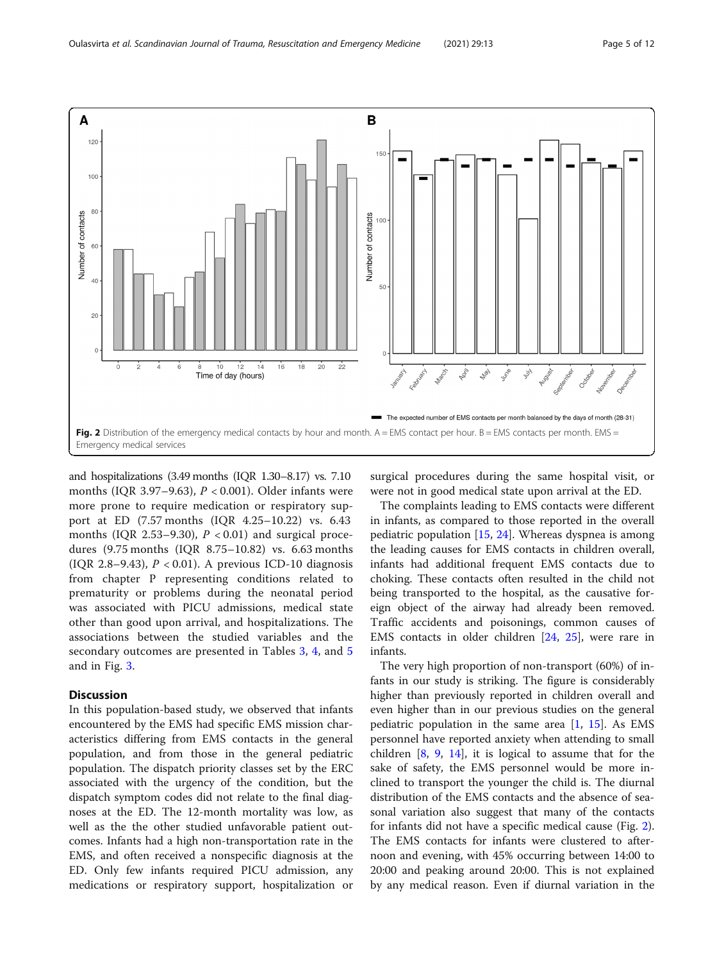<span id="page-4-0"></span>

and hospitalizations (3.49 months (IQR 1.30–8.17) vs. 7.10 months (IQR 3.97-9.63),  $P < 0.001$ ). Older infants were more prone to require medication or respiratory support at ED (7.57 months (IQR 4.25–10.22) vs. 6.43 months (IQR 2.53–9.30),  $P < 0.01$ ) and surgical procedures (9.75 months (IQR 8.75–10.82) vs. 6.63 months (IQR 2.8–9.43),  $P < 0.01$ ). A previous ICD-10 diagnosis from chapter P representing conditions related to prematurity or problems during the neonatal period was associated with PICU admissions, medical state other than good upon arrival, and hospitalizations. The associations between the studied variables and the secondary outcomes are presented in Tables [3](#page-7-0), [4,](#page-8-0) and [5](#page-9-0) and in Fig. [3.](#page-9-0)

## **Discussion**

In this population-based study, we observed that infants encountered by the EMS had specific EMS mission characteristics differing from EMS contacts in the general population, and from those in the general pediatric population. The dispatch priority classes set by the ERC associated with the urgency of the condition, but the dispatch symptom codes did not relate to the final diagnoses at the ED. The 12-month mortality was low, as well as the the other studied unfavorable patient outcomes. Infants had a high non-transportation rate in the EMS, and often received a nonspecific diagnosis at the ED. Only few infants required PICU admission, any medications or respiratory support, hospitalization or

surgical procedures during the same hospital visit, or were not in good medical state upon arrival at the ED.

The complaints leading to EMS contacts were different in infants, as compared to those reported in the overall pediatric population [[15](#page-11-0), [24](#page-11-0)]. Whereas dyspnea is among the leading causes for EMS contacts in children overall, infants had additional frequent EMS contacts due to choking. These contacts often resulted in the child not being transported to the hospital, as the causative foreign object of the airway had already been removed. Traffic accidents and poisonings, common causes of EMS contacts in older children [\[24](#page-11-0), [25](#page-11-0)], were rare in infants.

The very high proportion of non-transport (60%) of infants in our study is striking. The figure is considerably higher than previously reported in children overall and even higher than in our previous studies on the general pediatric population in the same area [[1,](#page-10-0) [15](#page-11-0)]. As EMS personnel have reported anxiety when attending to small children [\[8,](#page-10-0) [9,](#page-10-0) [14](#page-11-0)], it is logical to assume that for the sake of safety, the EMS personnel would be more inclined to transport the younger the child is. The diurnal distribution of the EMS contacts and the absence of seasonal variation also suggest that many of the contacts for infants did not have a specific medical cause (Fig. 2). The EMS contacts for infants were clustered to afternoon and evening, with 45% occurring between 14:00 to 20:00 and peaking around 20:00. This is not explained by any medical reason. Even if diurnal variation in the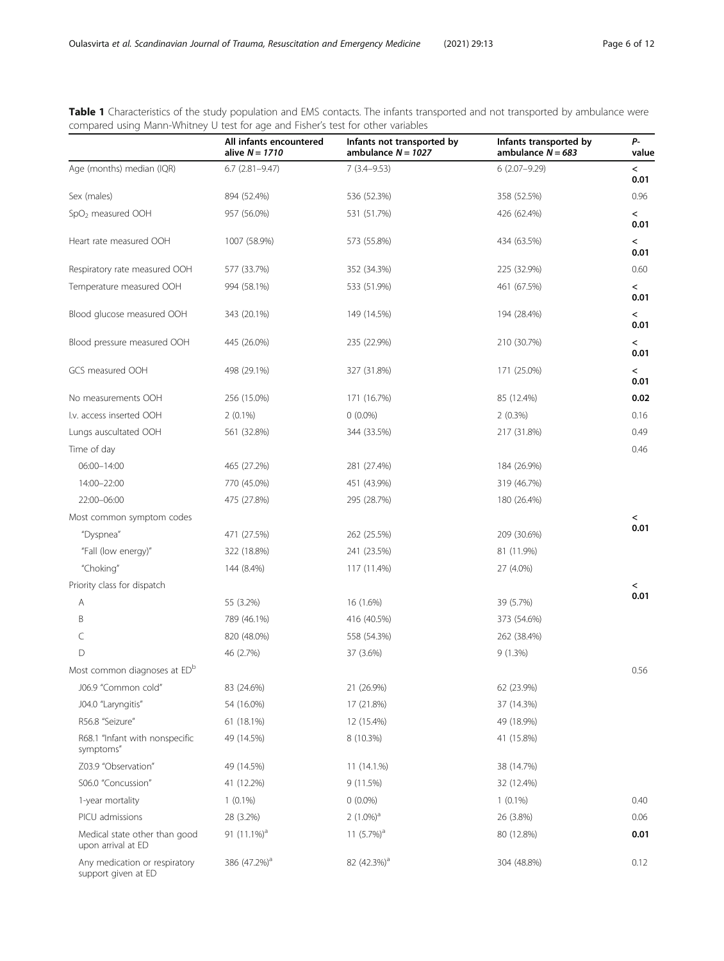|                                                      | All infants encountered<br>alive $N = 1710$ | Infants not transported by<br>ambulance $N = 1027$ | Infants transported by<br>ambulance $N = 683$ | P-<br>value                      |
|------------------------------------------------------|---------------------------------------------|----------------------------------------------------|-----------------------------------------------|----------------------------------|
| Age (months) median (IQR)                            | $6.7$ $(2.81 - 9.47)$                       | $7(3.4 - 9.53)$                                    | $6(2.07 - 9.29)$                              | $\,<\,$                          |
|                                                      |                                             |                                                    |                                               | 0.01                             |
| Sex (males)                                          | 894 (52.4%)                                 | 536 (52.3%)                                        | 358 (52.5%)                                   | 0.96                             |
| SpO <sub>2</sub> measured OOH                        | 957 (56.0%)                                 | 531 (51.7%)                                        | 426 (62.4%)                                   | $\overline{\phantom{0}}$<br>0.01 |
| Heart rate measured OOH                              | 1007 (58.9%)                                | 573 (55.8%)                                        | 434 (63.5%)                                   | $\,<\,$<br>0.01                  |
| Respiratory rate measured OOH                        | 577 (33.7%)                                 | 352 (34.3%)                                        | 225 (32.9%)                                   | 0.60                             |
| Temperature measured OOH                             | 994 (58.1%)                                 | 533 (51.9%)                                        | 461 (67.5%)                                   | $\overline{\phantom{0}}$         |
|                                                      |                                             |                                                    |                                               | 0.01                             |
| Blood glucose measured OOH                           | 343 (20.1%)                                 | 149 (14.5%)                                        | 194 (28.4%)                                   | $\overline{\phantom{0}}$<br>0.01 |
| Blood pressure measured OOH                          | 445 (26.0%)                                 | 235 (22.9%)                                        | 210 (30.7%)                                   | $\overline{\phantom{0}}$         |
|                                                      |                                             |                                                    |                                               | 0.01                             |
| GCS measured OOH                                     | 498 (29.1%)                                 | 327 (31.8%)                                        | 171 (25.0%)                                   | $\overline{\phantom{0}}$         |
|                                                      |                                             |                                                    |                                               | 0.01                             |
| No measurements OOH                                  | 256 (15.0%)                                 | 171 (16.7%)                                        | 85 (12.4%)                                    | 0.02                             |
| I.v. access inserted OOH                             | $2(0.1\%)$                                  | $0(0.0\%)$                                         | 2(0.3%)                                       | 0.16                             |
| Lungs auscultated OOH                                | 561 (32.8%)                                 | 344 (33.5%)                                        | 217 (31.8%)                                   | 0.49                             |
| Time of day                                          |                                             |                                                    |                                               | 0.46                             |
| 06:00-14:00                                          | 465 (27.2%)                                 | 281 (27.4%)                                        | 184 (26.9%)                                   |                                  |
| 14:00-22:00                                          | 770 (45.0%)                                 | 451 (43.9%)                                        | 319 (46.7%)                                   |                                  |
| 22:00-06:00                                          | 475 (27.8%)                                 | 295 (28.7%)                                        | 180 (26.4%)                                   |                                  |
| Most common symptom codes                            |                                             |                                                    |                                               | $\,<\,$<br>0.01                  |
| "Dyspnea"                                            | 471 (27.5%)                                 | 262 (25.5%)                                        | 209 (30.6%)                                   |                                  |
| "Fall (low energy)"                                  | 322 (18.8%)                                 | 241 (23.5%)                                        | 81 (11.9%)                                    |                                  |
| "Choking"                                            | 144 (8.4%)                                  | 117 (11.4%)                                        | 27 (4.0%)                                     |                                  |
| Priority class for dispatch                          |                                             |                                                    |                                               | $\,<\,$<br>0.01                  |
| Α                                                    | 55 (3.2%)                                   | 16 (1.6%)                                          | 39 (5.7%)                                     |                                  |
| B                                                    | 789 (46.1%)                                 | 416 (40.5%)                                        | 373 (54.6%)                                   |                                  |
| C                                                    | 820 (48.0%)                                 | 558 (54.3%)                                        | 262 (38.4%)                                   |                                  |
| $\mathsf{D}$                                         | 46 (2.7%)                                   | 37 (3.6%)                                          | 9(1.3%)                                       |                                  |
| Most common diagnoses at ED <sup>b</sup>             |                                             |                                                    |                                               | 0.56                             |
| J06.9 "Common cold"                                  | 83 (24.6%)                                  | 21 (26.9%)                                         | 62 (23.9%)                                    |                                  |
| J04.0 "Laryngitis"                                   | 54 (16.0%)                                  | 17 (21.8%)                                         | 37 (14.3%)                                    |                                  |
| R56.8 "Seizure"                                      | 61 (18.1%)                                  | 12 (15.4%)                                         | 49 (18.9%)                                    |                                  |
| R68.1 "Infant with nonspecific<br>symptoms"          | 49 (14.5%)                                  | 8 (10.3%)                                          | 41 (15.8%)                                    |                                  |
| Z03.9 "Observation"                                  | 49 (14.5%)                                  | $11(14.1\%)$                                       | 38 (14.7%)                                    |                                  |
| S06.0 "Concussion"                                   | 41 (12.2%)                                  | 9 (11.5%)                                          | 32 (12.4%)                                    |                                  |
| 1-year mortality                                     | $1(0.1\%)$                                  | $0(0.0\%)$                                         | $1(0.1\%)$                                    | 0.40                             |
| PICU admissions                                      | 28 (3.2%)                                   | $2(1.0\%)^a$                                       | 26 (3.8%)                                     | 0.06                             |
| Medical state other than good<br>upon arrival at ED  | 91 $(11.1\%)^d$                             | 11 $(5.7\%)^a$                                     | 80 (12.8%)                                    | 0.01                             |
| Any medication or respiratory<br>support given at ED | 386 (47.2%) <sup>a</sup>                    | 82 (42.3%) <sup>a</sup>                            | 304 (48.8%)                                   | 0.12                             |

<span id="page-5-0"></span>Table 1 Characteristics of the study population and EMS contacts. The infants transported and not transported by ambulance were compared using Mann-Whitney U test for age and Fisher's test for other variables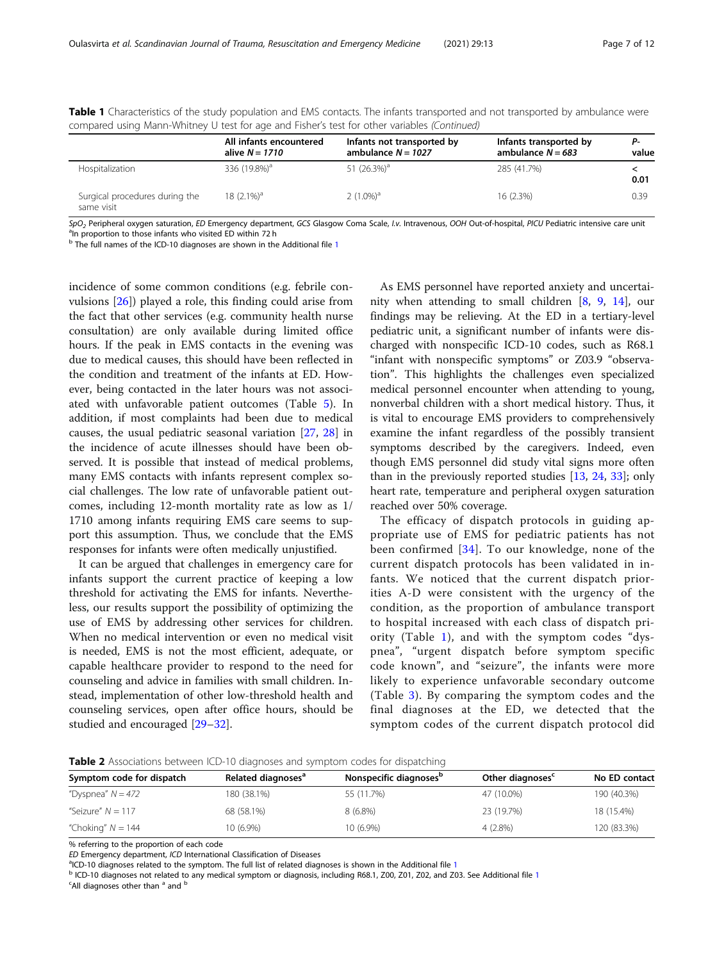|                                              | All infants encountered<br>alive $N = 1710$ | Infants not transported by<br>ambulance $N = 1027$ | Infants transported by<br>ambulance $N = 683$ | Р-<br>value |
|----------------------------------------------|---------------------------------------------|----------------------------------------------------|-----------------------------------------------|-------------|
| Hospitalization                              | 336 (19.8%) <sup>a</sup>                    | 51 $(26.3\%)$ <sup>a</sup>                         | 285 (41.7%)                                   | 0.01        |
| Surgical procedures during the<br>same visit | 18 $(2.1\%)$ <sup>a</sup>                   | $2(1.0\%)^a$                                       | $16(2.3\%)$                                   | 0.39        |

<span id="page-6-0"></span>Table 1 Characteristics of the study population and EMS contacts. The infants transported and not transported by ambulance were compared using Mann-Whitney U test for age and Fisher's test for other variables (Continued)

SpO<sub>2</sub> Peripheral oxygen saturation, ED Emergency department, GCS Glasgow Coma Scale, I.v. Intravenous, OOH Out-of-hospital, PICU Pediatric intensive care unit <sup>a</sup>In proportion to those infants who visited ED within 72 h

 $<sup>b</sup>$  The full names of the ICD-[1](#page-10-0)0 diagnoses are shown in the Additional file 1</sup>

incidence of some common conditions (e.g. febrile convulsions [\[26\]](#page-11-0)) played a role, this finding could arise from the fact that other services (e.g. community health nurse consultation) are only available during limited office hours. If the peak in EMS contacts in the evening was due to medical causes, this should have been reflected in the condition and treatment of the infants at ED. However, being contacted in the later hours was not associated with unfavorable patient outcomes (Table [5](#page-9-0)). In addition, if most complaints had been due to medical causes, the usual pediatric seasonal variation [\[27,](#page-11-0) [28\]](#page-11-0) in the incidence of acute illnesses should have been observed. It is possible that instead of medical problems, many EMS contacts with infants represent complex social challenges. The low rate of unfavorable patient outcomes, including 12-month mortality rate as low as 1/ 1710 among infants requiring EMS care seems to support this assumption. Thus, we conclude that the EMS responses for infants were often medically unjustified.

It can be argued that challenges in emergency care for infants support the current practice of keeping a low threshold for activating the EMS for infants. Nevertheless, our results support the possibility of optimizing the use of EMS by addressing other services for children. When no medical intervention or even no medical visit is needed, EMS is not the most efficient, adequate, or capable healthcare provider to respond to the need for counseling and advice in families with small children. Instead, implementation of other low-threshold health and counseling services, open after office hours, should be studied and encouraged [\[29](#page-11-0)–[32\]](#page-11-0).

As EMS personnel have reported anxiety and uncertainity when attending to small children [\[8](#page-10-0), [9,](#page-10-0) [14\]](#page-11-0), our findings may be relieving. At the ED in a tertiary-level pediatric unit, a significant number of infants were discharged with nonspecific ICD-10 codes, such as R68.1 "infant with nonspecific symptoms" or Z03.9 "observation". This highlights the challenges even specialized medical personnel encounter when attending to young, nonverbal children with a short medical history. Thus, it is vital to encourage EMS providers to comprehensively examine the infant regardless of the possibly transient symptoms described by the caregivers. Indeed, even though EMS personnel did study vital signs more often than in the previously reported studies [[13,](#page-11-0) [24](#page-11-0), [33](#page-11-0)]; only heart rate, temperature and peripheral oxygen saturation reached over 50% coverage.

The efficacy of dispatch protocols in guiding appropriate use of EMS for pediatric patients has not been confirmed [\[34\]](#page-11-0). To our knowledge, none of the current dispatch protocols has been validated in infants. We noticed that the current dispatch priorities A-D were consistent with the urgency of the condition, as the proportion of ambulance transport to hospital increased with each class of dispatch priority (Table [1](#page-5-0)), and with the symptom codes "dyspnea", "urgent dispatch before symptom specific code known", and "seizure", the infants were more likely to experience unfavorable secondary outcome (Table [3\)](#page-7-0). By comparing the symptom codes and the final diagnoses at the ED, we detected that the symptom codes of the current dispatch protocol did

Table 2 Associations between ICD-10 diagnoses and symptom codes for dispatching

| Symptom code for dispatch | Related diagnoses <sup>a</sup> | Nonspecific diagnoses <sup>p</sup> | Other diagnoses <sup>c</sup> | No ED contact |
|---------------------------|--------------------------------|------------------------------------|------------------------------|---------------|
| "Dyspnea" $N = 472$       | 180 (38.1%)                    | 55 (11.7%)                         | 47 (10.0%)                   | 190 (40.3%)   |
| "Seizure" $N = 117$       | 68 (58.1%)                     | $8(6.8\%)$                         | 23 (19.7%)                   | 18 (15.4%)    |
| "Choking" $N = 144$       | 10 (6.9%)                      | 10 (6.9%)                          | $4(2.8\%)$                   | 120 (83.3%)   |

% referring to the proportion of each code

ED Emergency department, ICD International Classification of Diseases<br><sup>a</sup>ICD-10 diagnoses related to the symptom. The full list of related diagnoses is shown in the Additional file 1

<sup>b</sup> ICD-[1](#page-10-0)0 diagnoses not related to any medical symptom or diagnosis, including R68.1, Z00, Z01, Z02, and Z03. See Additional file 1  $\degree$ All diagnoses other than  $\degree$  and  $\degree$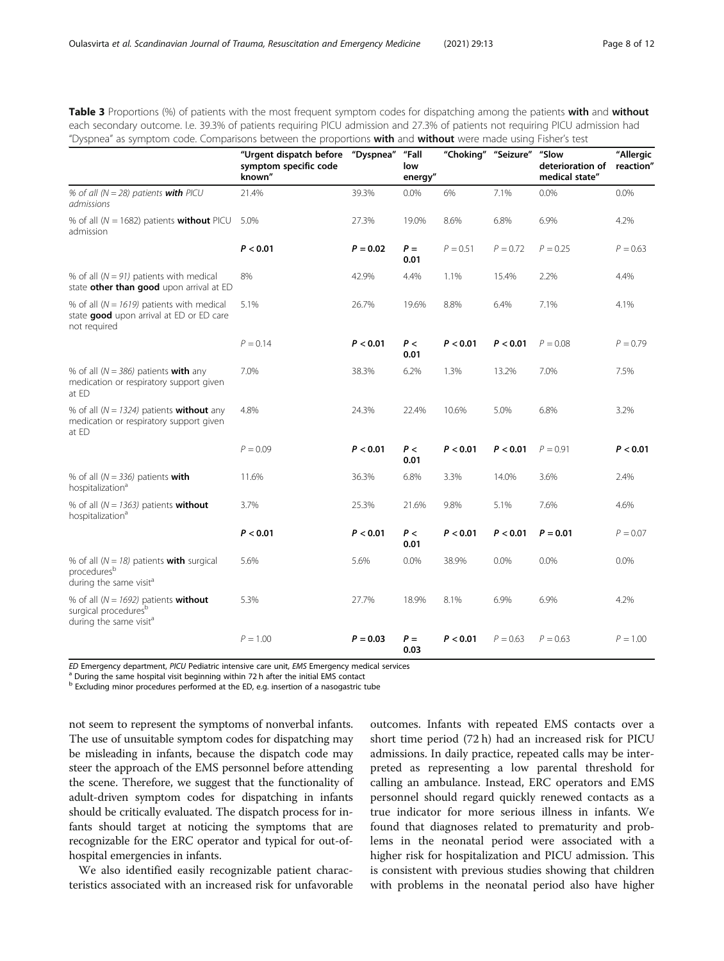<span id="page-7-0"></span>Table 3 Proportions (%) of patients with the most frequent symptom codes for dispatching among the patients with and without each secondary outcome. I.e. 39.3% of patients requiring PICU admission and 27.3% of patients not requiring PICU admission had "Dyspnea" as symptom code. Comparisons between the proportions with and without were made using Fisher's test

|                                                                                                                           | "Urgent dispatch before<br>symptom specific code<br>known" | "Dyspnea"  | "Fall<br>low<br>energy" | "Choking"  | "Seizure"  | "Slow<br>deterioration of<br>medical state" | "Allergic<br>reaction" |
|---------------------------------------------------------------------------------------------------------------------------|------------------------------------------------------------|------------|-------------------------|------------|------------|---------------------------------------------|------------------------|
| % of all ( $N = 28$ ) patients with PICU<br>admissions                                                                    | 21.4%                                                      | 39.3%      | 0.0%                    | 6%         | 7.1%       | 0.0%                                        | 0.0%                   |
| % of all ( $N = 1682$ ) patients <b>without</b> PICU<br>admission                                                         | 5.0%                                                       | 27.3%      | 19.0%                   | 8.6%       | 6.8%       | 6.9%                                        | 4.2%                   |
|                                                                                                                           | P < 0.01                                                   | $P = 0.02$ | $P =$<br>0.01           | $P = 0.51$ | $P = 0.72$ | $P = 0.25$                                  | $P = 0.63$             |
| % of all $(N = 91)$ patients with medical<br>state other than good upon arrival at ED                                     | 8%                                                         | 42.9%      | 4.4%                    | 1.1%       | 15.4%      | 2.2%                                        | 4.4%                   |
| % of all ( $N = 1619$ ) patients with medical<br>state good upon arrival at ED or ED care<br>not required                 | 5.1%                                                       | 26.7%      | 19.6%                   | 8.8%       | 6.4%       | 7.1%                                        | 4.1%                   |
|                                                                                                                           | $P = 0.14$                                                 | P < 0.01   | P<<br>0.01              | P < 0.01   | P < 0.01   | $P = 0.08$                                  | $P = 0.79$             |
| % of all ( $N = 386$ ) patients with any<br>medication or respiratory support given<br>at ED                              | 7.0%                                                       | 38.3%      | 6.2%                    | 1.3%       | 13.2%      | 7.0%                                        | 7.5%                   |
| % of all ( $N = 1324$ ) patients <b>without</b> any<br>medication or respiratory support given<br>at ED                   | 4.8%                                                       | 24.3%      | 22.4%                   | 10.6%      | 5.0%       | 6.8%                                        | 3.2%                   |
|                                                                                                                           | $P = 0.09$                                                 | P < 0.01   | P<<br>0.01              | P < 0.01   | P < 0.01   | $P = 0.91$                                  | P < 0.01               |
| % of all $(N = 336)$ patients with<br>hospitalization <sup>a</sup>                                                        | 11.6%                                                      | 36.3%      | 6.8%                    | 3.3%       | 14.0%      | 3.6%                                        | 2.4%                   |
| % of all $(N = 1363)$ patients without<br>hospitalization <sup>a</sup>                                                    | 3.7%                                                       | 25.3%      | 21.6%                   | 9.8%       | 5.1%       | 7.6%                                        | 4.6%                   |
|                                                                                                                           | P < 0.01                                                   | P < 0.01   | P<<br>0.01              | P < 0.01   | P < 0.01   | $P = 0.01$                                  | $P = 0.07$             |
| % of all ( $N = 18$ ) patients <b>with</b> surgical<br>procedures <sup>b</sup><br>during the same visit <sup>a</sup>      | 5.6%                                                       | 5.6%       | 0.0%                    | 38.9%      | 0.0%       | 0.0%                                        | 0.0%                   |
| % of all ( $N = 1692$ ) patients <b>without</b><br>surgical procedures <sup>b</sup><br>during the same visit <sup>a</sup> | 5.3%                                                       | 27.7%      | 18.9%                   | 8.1%       | 6.9%       | 6.9%                                        | 4.2%                   |
|                                                                                                                           | $P = 1.00$                                                 | $P = 0.03$ | $P =$<br>0.03           | P < 0.01   | $P = 0.63$ | $P = 0.63$                                  | $P = 1.00$             |

ED Emergency department, PICU Pediatric intensive care unit, EMS Emergency medical services a During the same hospital visit beginning within 72 h after the initial EMS contact

b Excluding minor procedures performed at the ED, e.g. insertion of a nasogastric tube

not seem to represent the symptoms of nonverbal infants. The use of unsuitable symptom codes for dispatching may be misleading in infants, because the dispatch code may steer the approach of the EMS personnel before attending the scene. Therefore, we suggest that the functionality of adult-driven symptom codes for dispatching in infants should be critically evaluated. The dispatch process for infants should target at noticing the symptoms that are recognizable for the ERC operator and typical for out-ofhospital emergencies in infants.

We also identified easily recognizable patient characteristics associated with an increased risk for unfavorable outcomes. Infants with repeated EMS contacts over a short time period (72 h) had an increased risk for PICU admissions. In daily practice, repeated calls may be interpreted as representing a low parental threshold for calling an ambulance. Instead, ERC operators and EMS personnel should regard quickly renewed contacts as a true indicator for more serious illness in infants. We found that diagnoses related to prematurity and problems in the neonatal period were associated with a higher risk for hospitalization and PICU admission. This is consistent with previous studies showing that children with problems in the neonatal period also have higher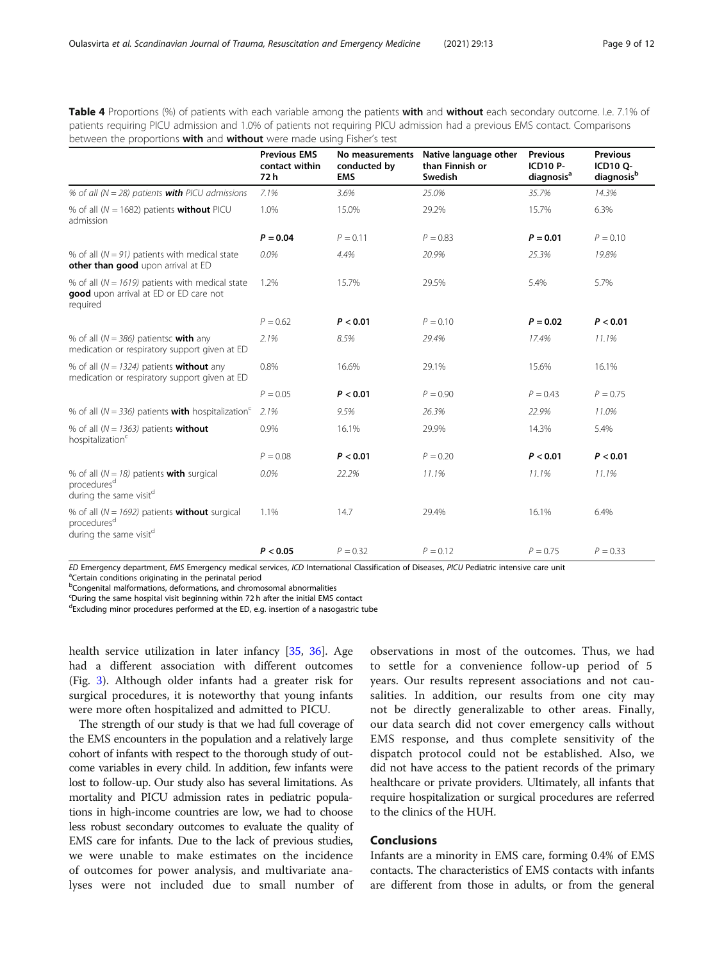<span id="page-8-0"></span>Table 4 Proportions (%) of patients with each variable among the patients with and without each secondary outcome. I.e. 7.1% of patients requiring PICU admission and 1.0% of patients not requiring PICU admission had a previous EMS contact. Comparisons between the proportions with and without were made using Fisher's test

|                                                                                                                           | <b>Previous EMS</b><br>contact within<br>72 h | No measurements<br>conducted by<br><b>EMS</b> | Native language other<br>than Finnish or<br>Swedish | <b>Previous</b><br><b>ICD10 P-</b><br>diagnosis <sup>a</sup> | <b>Previous</b><br><b>ICD10 Q-</b><br>diagnosis <sup>b</sup> |
|---------------------------------------------------------------------------------------------------------------------------|-----------------------------------------------|-----------------------------------------------|-----------------------------------------------------|--------------------------------------------------------------|--------------------------------------------------------------|
| % of all ( $N = 28$ ) patients <b>with</b> PICU admissions                                                                | 7.1%                                          | 3.6%                                          | 25.0%                                               | 35.7%                                                        | 14.3%                                                        |
| % of all ( $N = 1682$ ) patients <b>without</b> PICU<br>admission                                                         | 1.0%                                          | 15.0%                                         | 29.2%                                               | 15.7%                                                        | 6.3%                                                         |
|                                                                                                                           | $P = 0.04$                                    | $P = 0.11$                                    | $P = 0.83$                                          | $P = 0.01$                                                   | $P = 0.10$                                                   |
| % of all $(N = 91)$ patients with medical state<br>other than good upon arrival at ED                                     | 0.0%                                          | 4.4%                                          | 20.9%                                               | 25.3%                                                        | 19.8%                                                        |
| % of all ( $N = 1619$ ) patients with medical state<br>good upon arrival at ED or ED care not<br>required                 | 1.2%                                          | 15.7%                                         | 29.5%                                               | 5.4%                                                         | 5.7%                                                         |
|                                                                                                                           | $P = 0.62$                                    | P < 0.01                                      | $P = 0.10$                                          | $P = 0.02$                                                   | P < 0.01                                                     |
| % of all ( $N = 386$ ) patientsc <b>with</b> any<br>medication or respiratory support given at ED                         | 2.1%                                          | 8.5%                                          | 29.4%                                               | 17.4%                                                        | 11.1%                                                        |
| % of all ( $N = 1324$ ) patients <b>without</b> any<br>medication or respiratory support given at ED                      | 0.8%                                          | 16.6%                                         | 29.1%                                               | 15.6%                                                        | 16.1%                                                        |
|                                                                                                                           | $P = 0.05$                                    | P < 0.01                                      | $P = 0.90$                                          | $P = 0.43$                                                   | $P = 0.75$                                                   |
| % of all ( $N = 336$ ) patients <b>with</b> hospitalization <sup>c</sup>                                                  | 2.1%                                          | 9.5%                                          | 26.3%                                               | 22.9%                                                        | 11.0%                                                        |
| % of all $(N = 1363)$ patients without<br>hospitalization <sup>c</sup>                                                    | 0.9%                                          | 16.1%                                         | 29.9%                                               | 14.3%                                                        | 5.4%                                                         |
|                                                                                                                           | $P = 0.08$                                    | P < 0.01                                      | $P = 0.20$                                          | P < 0.01                                                     | P < 0.01                                                     |
| % of all $(N = 18)$ patients with surgical<br>procedures <sup>d</sup><br>during the same visit <sup>d</sup>               | 0.0%                                          | 22.2%                                         | 11.1%                                               | 11.1%                                                        | 11.1%                                                        |
| % of all ( $N = 1692$ ) patients <b>without</b> surgical<br>procedures <sup>d</sup><br>during the same visit <sup>d</sup> | 1.1%                                          | 14.7                                          | 29.4%                                               | 16.1%                                                        | 6.4%                                                         |
|                                                                                                                           | P < 0.05                                      | $P = 0.32$                                    | $P = 0.12$                                          | $P = 0.75$                                                   | $P = 0.33$                                                   |

ED Emergency department, EMS Emergency medical services, ICD International Classification of Diseases, PICU Pediatric intensive care unit

<sup>a</sup>Certain conditions originating in the perinatal period

<sup>b</sup>Congenital malformations, deformations, and chromosomal abnormalities

<sup>c</sup>During the same hospital visit beginning within 72 h after the initial EMS contact

<sup>d</sup>Excluding minor procedures performed at the ED, e.g. insertion of a nasogastric tube

health service utilization in later infancy [[35,](#page-11-0) [36](#page-11-0)]. Age had a different association with different outcomes (Fig. [3](#page-9-0)). Although older infants had a greater risk for surgical procedures, it is noteworthy that young infants were more often hospitalized and admitted to PICU.

The strength of our study is that we had full coverage of the EMS encounters in the population and a relatively large cohort of infants with respect to the thorough study of outcome variables in every child. In addition, few infants were lost to follow-up. Our study also has several limitations. As mortality and PICU admission rates in pediatric populations in high-income countries are low, we had to choose less robust secondary outcomes to evaluate the quality of EMS care for infants. Due to the lack of previous studies, we were unable to make estimates on the incidence of outcomes for power analysis, and multivariate analyses were not included due to small number of

observations in most of the outcomes. Thus, we had to settle for a convenience follow-up period of 5 years. Our results represent associations and not causalities. In addition, our results from one city may not be directly generalizable to other areas. Finally, our data search did not cover emergency calls without EMS response, and thus complete sensitivity of the dispatch protocol could not be established. Also, we did not have access to the patient records of the primary healthcare or private providers. Ultimately, all infants that require hospitalization or surgical procedures are referred to the clinics of the HUH.

## **Conclusions**

Infants are a minority in EMS care, forming 0.4% of EMS contacts. The characteristics of EMS contacts with infants are different from those in adults, or from the general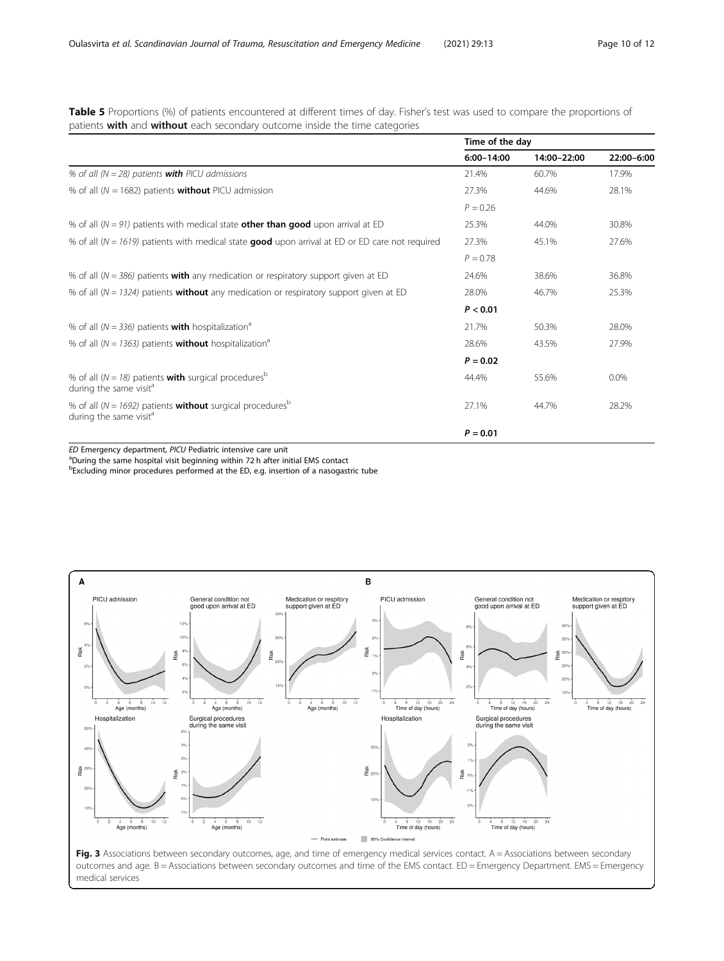<span id="page-9-0"></span>Table 5 Proportions (%) of patients encountered at different times of day. Fisher's test was used to compare the proportions of patients with and without each secondary outcome inside the time categories

|                                                                                                                        | Time of the day |             |            |
|------------------------------------------------------------------------------------------------------------------------|-----------------|-------------|------------|
|                                                                                                                        | 6:00-14:00      | 14:00-22:00 | 22:00-6:00 |
| % of all ( $N = 28$ ) patients <b>with</b> PICU admissions                                                             | 21.4%           | 60.7%       | 17.9%      |
| % of all ( $N = 1682$ ) patients <b>without</b> PICU admission                                                         | 27.3%           | 44.6%       | 28.1%      |
|                                                                                                                        | $P = 0.26$      |             |            |
| % of all ( $N = 91$ ) patients with medical state <b>other than good</b> upon arrival at ED                            | 25.3%           | 44.0%       | 30.8%      |
| % of all ( $N = 1619$ ) patients with medical state <b>good</b> upon arrival at ED or ED care not required             | 27.3%           | 45.1%       | 27.6%      |
|                                                                                                                        | $P = 0.78$      |             |            |
| % of all ( $N = 386$ ) patients <b>with</b> any medication or respiratory support given at ED                          | 24.6%           | 38.6%       | 36.8%      |
| % of all ( $N = 1324$ ) patients <b>without</b> any medication or respiratory support given at ED                      | 28.0%           | 46.7%       | 25.3%      |
|                                                                                                                        | P < 0.01        |             |            |
| % of all ( $N = 336$ ) patients <b>with</b> hospitalization <sup>a</sup>                                               | 21.7%           | 50.3%       | 28.0%      |
| % of all ( $N = 1363$ ) patients <b>without</b> hospitalization <sup>a</sup>                                           | 28.6%           | 43.5%       | 27.9%      |
|                                                                                                                        | $P = 0.02$      |             |            |
| % of all ( $N = 18$ ) patients <b>with</b> surgical procedures <sup>b</sup><br>during the same visit <sup>a</sup>      | 44.4%           | 55.6%       | 0.0%       |
| % of all ( $N = 1692$ ) patients <b>without</b> surgical procedures <sup>b</sup><br>during the same visit <sup>a</sup> | 27.1%           | 44.7%       | 28.2%      |
|                                                                                                                        | $P = 0.01$      |             |            |

ED Emergency department, PICU Pediatric intensive care unit

<sup>a</sup>During the same hospital visit beginning within 72 h after initial EMS contact <sup>b</sup>Excluding minor procedures performed at the ED, e.g. insertion of a nasogastric tube

 $\Delta$ B General condition not<br>good upon arrival at ED Medication or respitory<br>support given at ED General condition not<br>good upon arrival at ED Medication or respitory<br>support given at ED PICU admission PICU admission  $\overline{a}$  $40'$  $\overline{10}$  $\overline{c}$ 35% Risk Risk Risk Risk Risk  $\frac{36}{16}$  30%  $25^{1}$  $\overline{0}$  $20'$  $\frac{1}{12}$  $\overline{z}$  $\frac{4}{\text{Age}}$  (months)  $\overrightarrow{4}$   $\overrightarrow{6}$   $\overrightarrow{8}$ <br>Age (months)  $10$  $\frac{1}{12}$  $\frac{1}{2}$  $4$   $8$   $12$   $16$   $20$ <br>Time of day (hours)  $\frac{1}{24}$  $\frac{4}{4}$   $\frac{8}{12}$   $\frac{12}{16}$   $\frac{20}{20}$ <br>Time of day (hours)  $4 6 8$ <br>Age (months)  $4$  8 12 16 2<br>Time of day (hours) Hospitalization Surgical procedures<br>during the same visit Hospitalization Surgical procedures<br>during the same visit  $\overline{2}$  $25$  $\overline{40}$  $3<sup>°</sup>$ Risk  $\frac{36}{20}$  20 Risk Risk  $\overline{a}$ 15  $\overline{c}$  $10%$  $\frac{4}{4}$   $\frac{6}{6}$   $\frac{8}{8}$ <br>Age (months)  $10$  $\frac{1}{12}$  $\frac{1}{10}$  $\frac{1}{12}$  $4$   $8$   $12$   $16$   $2$ <br>Time of day (hours)  $\overline{24}$  $4$   $8$   $12$   $16$   $2$ <br>Time of day (hours)  $\overline{24}$  $\frac{4}{\text{Age}}$  (months) -<br>Point esti 95% Confid

Fig. 3 Associations between secondary outcomes, age, and time of emergency medical services contact. A = Associations between secondary outcomes and age. B = Associations between secondary outcomes and time of the EMS contact. ED = Emergency Department. EMS = Emergency medical services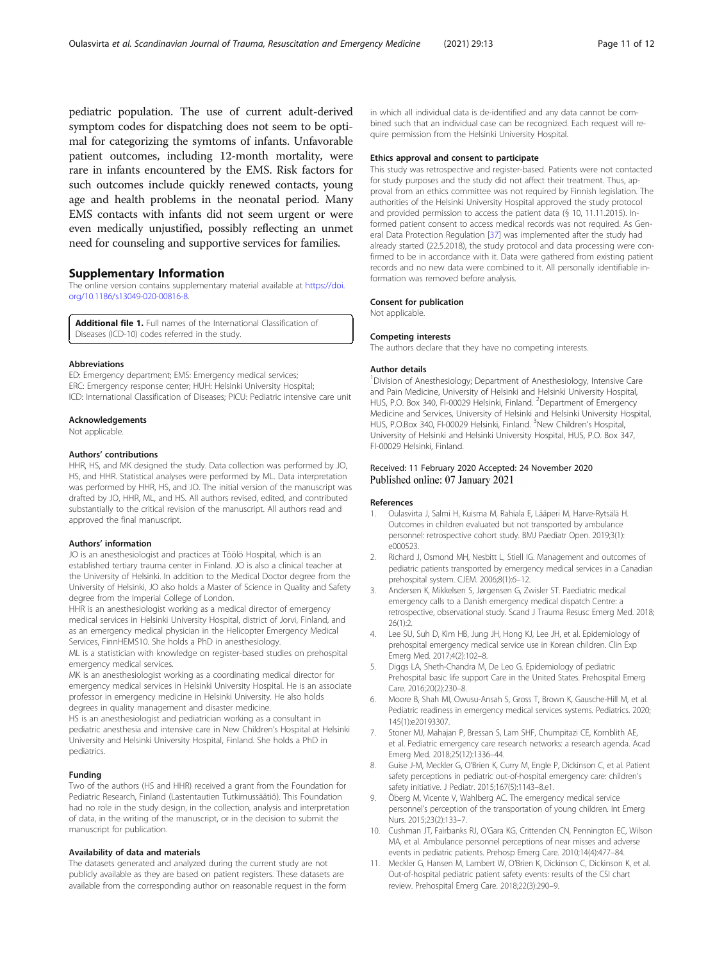<span id="page-10-0"></span>pediatric population. The use of current adult-derived symptom codes for dispatching does not seem to be optimal for categorizing the symtoms of infants. Unfavorable patient outcomes, including 12-month mortality, were rare in infants encountered by the EMS. Risk factors for such outcomes include quickly renewed contacts, young age and health problems in the neonatal period. Many EMS contacts with infants did not seem urgent or were even medically unjustified, possibly reflecting an unmet need for counseling and supportive services for families.

### Supplementary Information

The online version contains supplementary material available at [https://doi.](https://doi.org/10.1186/s13049-020-00816-8) [org/10.1186/s13049-020-00816-8.](https://doi.org/10.1186/s13049-020-00816-8)

Additional file 1. Full names of the International Classification of Diseases (ICD-10) codes referred in the study.

#### Abbreviations

ED: Emergency department; EMS: Emergency medical services; ERC: Emergency response center; HUH: Helsinki University Hospital; ICD: International Classification of Diseases; PICU: Pediatric intensive care unit

#### Acknowledgements

Not applicable.

#### Authors' contributions

HHR, HS, and MK designed the study. Data collection was performed by JO, HS, and HHR. Statistical analyses were performed by ML. Data interpretation was performed by HHR, HS, and JO. The initial version of the manuscript was drafted by JO, HHR, ML, and HS. All authors revised, edited, and contributed substantially to the critical revision of the manuscript. All authors read and approved the final manuscript.

#### Authors' information

JO is an anesthesiologist and practices at Töölö Hospital, which is an established tertiary trauma center in Finland. JO is also a clinical teacher at the University of Helsinki. In addition to the Medical Doctor degree from the University of Helsinki, JO also holds a Master of Science in Quality and Safety degree from the Imperial College of London.

HHR is an anesthesiologist working as a medical director of emergency medical services in Helsinki University Hospital, district of Jorvi, Finland, and as an emergency medical physician in the Helicopter Emergency Medical Services, FinnHEMS10. She holds a PhD in anesthesiology.

ML is a statistician with knowledge on register-based studies on prehospital emergency medical services.

MK is an anesthesiologist working as a coordinating medical director for emergency medical services in Helsinki University Hospital. He is an associate professor in emergency medicine in Helsinki University. He also holds degrees in quality management and disaster medicine.

HS is an anesthesiologist and pediatrician working as a consultant in pediatric anesthesia and intensive care in New Children's Hospital at Helsinki University and Helsinki University Hospital, Finland. She holds a PhD in pediatrics.

#### Funding

Two of the authors (HS and HHR) received a grant from the Foundation for Pediatric Research, Finland (Lastentautien Tutkimussäätiö). This Foundation had no role in the study design, in the collection, analysis and interpretation of data, in the writing of the manuscript, or in the decision to submit the manuscript for publication.

#### Availability of data and materials

The datasets generated and analyzed during the current study are not publicly available as they are based on patient registers. These datasets are available from the corresponding author on reasonable request in the form in which all individual data is de-identified and any data cannot be combined such that an individual case can be recognized. Each request will require permission from the Helsinki University Hospital.

#### Ethics approval and consent to participate

This study was retrospective and register-based. Patients were not contacted for study purposes and the study did not affect their treatment. Thus, approval from an ethics committee was not required by Finnish legislation. The authorities of the Helsinki University Hospital approved the study protocol and provided permission to access the patient data (§ 10, 11.11.2015). Informed patient consent to access medical records was not required. As General Data Protection Regulation [\[37](#page-11-0)] was implemented after the study had already started (22.5.2018), the study protocol and data processing were confirmed to be in accordance with it. Data were gathered from existing patient records and no new data were combined to it. All personally identifiable information was removed before analysis.

#### Consent for publication

Not applicable.

#### Competing interests

The authors declare that they have no competing interests.

#### Author details

<sup>1</sup> Division of Anesthesiology; Department of Anesthesiology, Intensive Care and Pain Medicine, University of Helsinki and Helsinki University Hospital, HUS, P.O. Box 340, FI-00029 Helsinki, Finland. <sup>2</sup>Department of Emergency Medicine and Services, University of Helsinki and Helsinki University Hospital, HUS, P.O.Box 340, FI-00029 Helsinki, Finland. <sup>3</sup>New Children's Hospital, University of Helsinki and Helsinki University Hospital, HUS, P.O. Box 347, FI-00029 Helsinki, Finland.

#### Received: 11 February 2020 Accepted: 24 November 2020 Published online: 07 January 2021

#### References

- 1. Oulasvirta J, Salmi H, Kuisma M, Rahiala E, Lääperi M, Harve-Rytsälä H. Outcomes in children evaluated but not transported by ambulance personnel: retrospective cohort study. BMJ Paediatr Open. 2019;3(1): e000523.
- 2. Richard J, Osmond MH, Nesbitt L, Stiell IG. Management and outcomes of pediatric patients transported by emergency medical services in a Canadian prehospital system. CJEM. 2006;8(1):6–12.
- 3. Andersen K, Mikkelsen S, Jørgensen G, Zwisler ST. Paediatric medical emergency calls to a Danish emergency medical dispatch Centre: a retrospective, observational study. Scand J Trauma Resusc Emerg Med. 2018; 26(1):2.
- 4. Lee SU, Suh D, Kim HB, Jung JH, Hong KJ, Lee JH, et al. Epidemiology of prehospital emergency medical service use in Korean children. Clin Exp Emerg Med. 2017;4(2):102–8.
- 5. Diggs LA, Sheth-Chandra M, De Leo G. Epidemiology of pediatric Prehospital basic life support Care in the United States. Prehospital Emerg Care. 2016;20(2):230–8.
- 6. Moore B, Shah MI, Owusu-Ansah S, Gross T, Brown K, Gausche-Hill M, et al. Pediatric readiness in emergency medical services systems. Pediatrics. 2020; 145(1):e20193307.
- 7. Stoner MJ, Mahajan P, Bressan S, Lam SHF, Chumpitazi CE, Kornblith AE, et al. Pediatric emergency care research networks: a research agenda. Acad Emerg Med. 2018;25(12):1336–44.
- 8. Guise J-M, Meckler G, O'Brien K, Curry M, Engle P, Dickinson C, et al. Patient safety perceptions in pediatric out-of-hospital emergency care: children's safety initiative. J Pediatr. 2015;167(5):1143–8.e1.
- 9. Öberg M, Vicente V, Wahlberg AC. The emergency medical service personnel's perception of the transportation of young children. Int Emerg Nurs. 2015;23(2):133–7.
- 10. Cushman JT, Fairbanks RJ, O'Gara KG, Crittenden CN, Pennington EC, Wilson MA, et al. Ambulance personnel perceptions of near misses and adverse events in pediatric patients. Prehosp Emerg Care. 2010;14(4):477–84.
- 11. Meckler G, Hansen M, Lambert W, O'Brien K, Dickinson C, Dickinson K, et al. Out-of-hospital pediatric patient safety events: results of the CSI chart review. Prehospital Emerg Care. 2018;22(3):290–9.